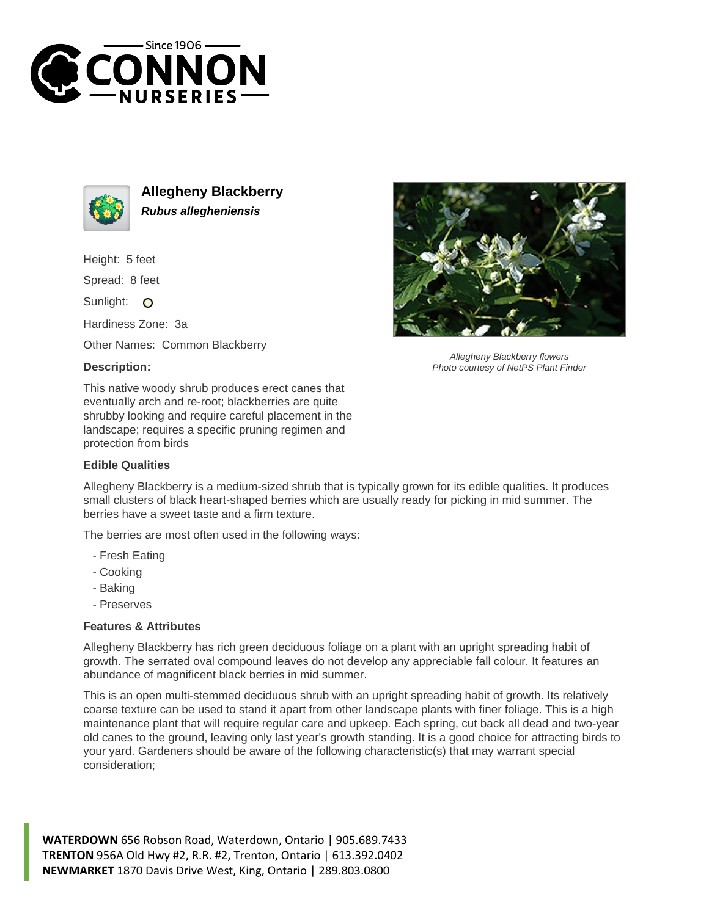



**Allegheny Blackberry Rubus allegheniensis**

Height: 5 feet

Spread: 8 feet

Sunlight: O

Hardiness Zone: 3a

Other Names: Common Blackberry

## **Description:**

This native woody shrub produces erect canes that eventually arch and re-root; blackberries are quite shrubby looking and require careful placement in the landscape; requires a specific pruning regimen and protection from birds

## **Edible Qualities**

Allegheny Blackberry is a medium-sized shrub that is typically grown for its edible qualities. It produces small clusters of black heart-shaped berries which are usually ready for picking in mid summer. The berries have a sweet taste and a firm texture.

The berries are most often used in the following ways:

- Fresh Eating
- Cooking
- Baking
- Preserves

## **Features & Attributes**

Allegheny Blackberry has rich green deciduous foliage on a plant with an upright spreading habit of growth. The serrated oval compound leaves do not develop any appreciable fall colour. It features an abundance of magnificent black berries in mid summer.

This is an open multi-stemmed deciduous shrub with an upright spreading habit of growth. Its relatively coarse texture can be used to stand it apart from other landscape plants with finer foliage. This is a high maintenance plant that will require regular care and upkeep. Each spring, cut back all dead and two-year old canes to the ground, leaving only last year's growth standing. It is a good choice for attracting birds to your yard. Gardeners should be aware of the following characteristic(s) that may warrant special consideration;

**WATERDOWN** 656 Robson Road, Waterdown, Ontario | 905.689.7433 **TRENTON** 956A Old Hwy #2, R.R. #2, Trenton, Ontario | 613.392.0402 **NEWMARKET** 1870 Davis Drive West, King, Ontario | 289.803.0800



Allegheny Blackberry flowers Photo courtesy of NetPS Plant Finder